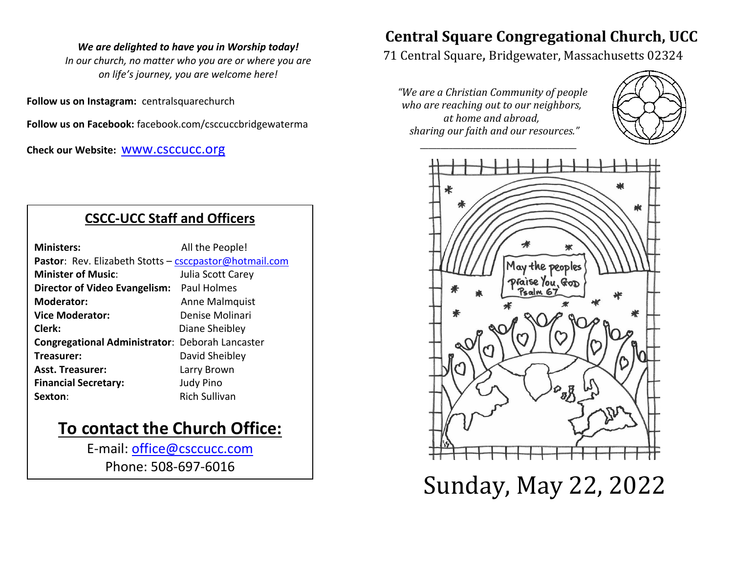#### *We are delighted to have you in Worship today!*

*In our church, no matter who you are or where you are on life's journey, you are welcome here!*

**Follow us on Instagram:** centralsquarechurch

**Follow us on Facebook:** facebook.com/csccuccbridgewaterma

**Check our Website:** [www.csccucc.org](about:blank)

### **CSCC-UCC Staff and Officers**

| <b>Ministers:</b>                                      | All the People!      |  |  |  |
|--------------------------------------------------------|----------------------|--|--|--|
| Pastor: Rev. Elizabeth Stotts - csccpastor@hotmail.com |                      |  |  |  |
| <b>Minister of Music:</b>                              | Julia Scott Carey    |  |  |  |
| Director of Video Evangelism: Paul Holmes              |                      |  |  |  |
| <b>Moderator:</b>                                      | Anne Malmquist       |  |  |  |
| <b>Vice Moderator:</b>                                 | Denise Molinari      |  |  |  |
| Clerk:                                                 | Diane Sheibley       |  |  |  |
| <b>Congregational Administrator: Deborah Lancaster</b> |                      |  |  |  |
| Treasurer:                                             | David Sheibley       |  |  |  |
| <b>Asst. Treasurer:</b>                                | Larry Brown          |  |  |  |
| <b>Financial Secretary:</b>                            | <b>Judy Pino</b>     |  |  |  |
| Sexton:                                                | <b>Rich Sullivan</b> |  |  |  |

### **To contact the Church Office:**

E-mail: [office@csccucc.com](mailto:office@csccucc.com) Phone: 508-697-6016

### **Central Square Congregational Church, UCC**

71 Central Square, Bridgewater, Massachusetts 02324

*"We are a Christian Community of people who are reaching out to our neighbors, at home and abroad, sharing our faith and our resources."*

*\_\_\_\_\_\_\_\_\_\_\_\_\_\_\_\_\_\_\_\_\_\_\_\_\_\_\_\_\_\_\_\_\_\_\_\_\_\_*





Sunday, May 22, 2022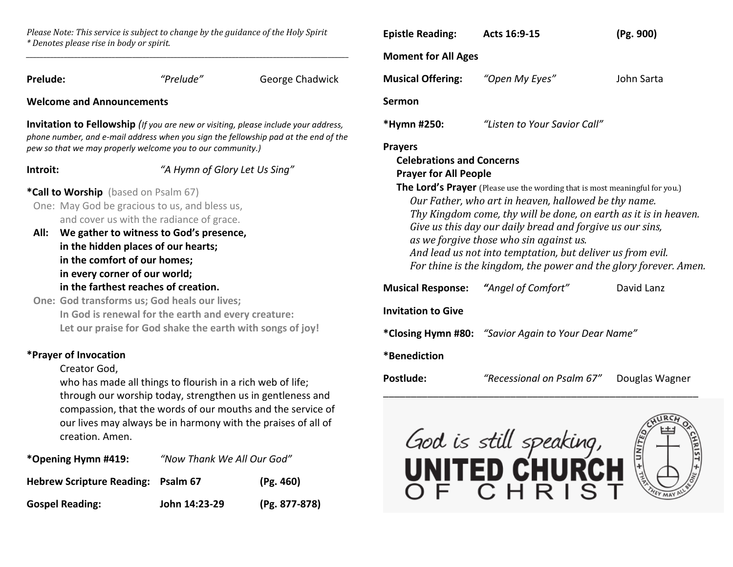*Please Note: This service is subject to change by the guidance of the Holy Spirit \* Denotes please rise in body or spirit. \_\_\_\_\_\_\_\_\_\_\_\_\_\_\_\_\_\_\_\_\_\_\_\_\_\_\_\_\_\_\_\_\_\_\_\_\_\_\_\_\_\_\_\_\_\_\_\_\_\_\_\_\_\_\_\_\_\_\_\_\_\_\_\_\_\_\_\_\_\_\_\_\_\_\_\_\_\_\_\_\_\_\_\_\_\_\_\_\_\_\_\_\_\_*

| <b>Prelude:</b>                                                                                                                                                                                                                                                                                                                                                                                                                                                                                          |  | "Prelude"                     | George Chadwick |  |  |  |
|----------------------------------------------------------------------------------------------------------------------------------------------------------------------------------------------------------------------------------------------------------------------------------------------------------------------------------------------------------------------------------------------------------------------------------------------------------------------------------------------------------|--|-------------------------------|-----------------|--|--|--|
| <b>Welcome and Announcements</b>                                                                                                                                                                                                                                                                                                                                                                                                                                                                         |  |                               |                 |  |  |  |
| <b>Invitation to Fellowship</b> (If you are new or visiting, please include your address,<br>phone number, and e-mail address when you sign the fellowship pad at the end of the<br>pew so that we may properly welcome you to our community.)                                                                                                                                                                                                                                                           |  |                               |                 |  |  |  |
| Introit:                                                                                                                                                                                                                                                                                                                                                                                                                                                                                                 |  | "A Hymn of Glory Let Us Sing" |                 |  |  |  |
| *Call to Worship (based on Psalm 67)<br>One: May God be gracious to us, and bless us,<br>and cover us with the radiance of grace.<br>All:<br>We gather to witness to God's presence,<br>in the hidden places of our hearts;<br>in the comfort of our homes;<br>in every corner of our world;<br>in the farthest reaches of creation.<br>One: God transforms us; God heals our lives;<br>In God is renewal for the earth and every creature:<br>Let our praise for God shake the earth with songs of joy! |  |                               |                 |  |  |  |
| *Prayer of Invocation<br>Creator God,<br>who has made all things to flourish in a rich web of life;<br>through our worship today, strengthen us in gentleness and<br>compassion, that the words of our mouths and the service of<br>our lives may always be in harmony with the praises of all of<br>creation. Amen.                                                                                                                                                                                     |  |                               |                 |  |  |  |

| *Opening Hymn #419:                       | "Now Thank We All Our God" |               |
|-------------------------------------------|----------------------------|---------------|
| <b>Hebrew Scripture Reading: Psalm 67</b> |                            | (Pg. 460)     |
| <b>Gospel Reading:</b>                    | John 14:23-29              | (Pg. 877-878) |

| <b>Epistle Reading:</b>                                                                                                                                                                                                                                                                                                                                                                                                                                                                                               | Acts 16:9-15                                        | (Pg. 900)      |  |  |  |
|-----------------------------------------------------------------------------------------------------------------------------------------------------------------------------------------------------------------------------------------------------------------------------------------------------------------------------------------------------------------------------------------------------------------------------------------------------------------------------------------------------------------------|-----------------------------------------------------|----------------|--|--|--|
| <b>Moment for All Ages</b>                                                                                                                                                                                                                                                                                                                                                                                                                                                                                            |                                                     |                |  |  |  |
| <b>Musical Offering:</b>                                                                                                                                                                                                                                                                                                                                                                                                                                                                                              | "Open My Eyes"                                      | John Sarta     |  |  |  |
| <b>Sermon</b>                                                                                                                                                                                                                                                                                                                                                                                                                                                                                                         |                                                     |                |  |  |  |
| *Hymn #250:                                                                                                                                                                                                                                                                                                                                                                                                                                                                                                           | "Listen to Your Savior Call"                        |                |  |  |  |
| <b>Celebrations and Concerns</b><br><b>Prayer for All People</b><br>The Lord's Prayer (Please use the wording that is most meaningful for you.)<br>Our Father, who art in heaven, hallowed be thy name.<br>Thy Kingdom come, thy will be done, on earth as it is in heaven.<br>Give us this day our daily bread and forgive us our sins,<br>as we forgive those who sin against us.<br>And lead us not into temptation, but deliver us from evil.<br>For thine is the kingdom, the power and the glory forever. Amen. |                                                     |                |  |  |  |
| <b>Musical Response:</b>                                                                                                                                                                                                                                                                                                                                                                                                                                                                                              | "Angel of Comfort"                                  | David Lanz     |  |  |  |
| <b>Invitation to Give</b>                                                                                                                                                                                                                                                                                                                                                                                                                                                                                             |                                                     |                |  |  |  |
|                                                                                                                                                                                                                                                                                                                                                                                                                                                                                                                       | *Closing Hymn #80: "Savior Again to Your Dear Name" |                |  |  |  |
| *Benediction                                                                                                                                                                                                                                                                                                                                                                                                                                                                                                          |                                                     |                |  |  |  |
| Postlude:                                                                                                                                                                                                                                                                                                                                                                                                                                                                                                             | "Recessional on Psalm 67"                           | Douglas Wagner |  |  |  |
|                                                                                                                                                                                                                                                                                                                                                                                                                                                                                                                       |                                                     |                |  |  |  |



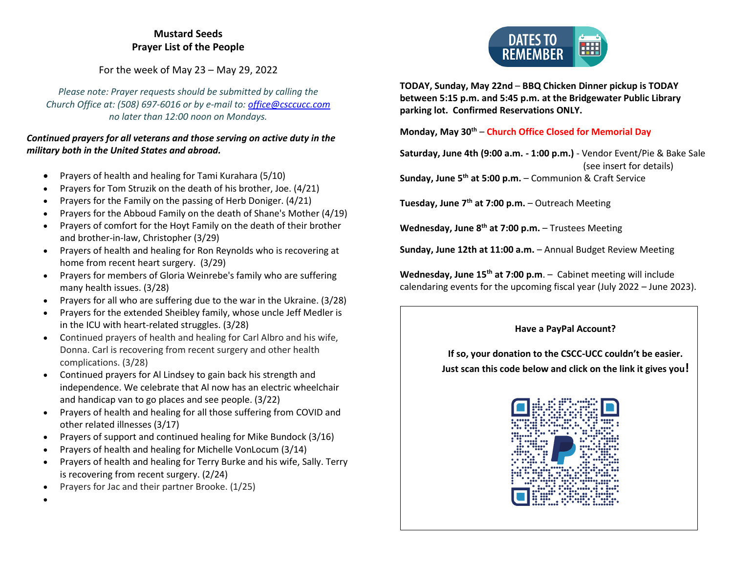#### **Mustard Seeds Prayer List of the People**

For the week of May 23 – May 29, 2022

*Please note: Prayer requests should be submitted by calling the Church Office at: (508) 697-6016 or by e-mail to: [office@csccucc.com](mailto:office@csccucc.com) no later than 12:00 noon on Mondays.*

#### *Continued prayers for all veterans and those serving on active duty in the military both in the United States and abroad.*

- Prayers of health and healing for Tami Kurahara (5/10)
- Prayers for Tom Struzik on the death of his brother, Joe. (4/21)
- Prayers for the Family on the passing of Herb Doniger. (4/21)
- Prayers for the Abboud Family on the death of Shane's Mother (4/19)
- Prayers of comfort for the Hoyt Family on the death of their brother and brother-in-law, Christopher (3/29)
- Prayers of health and healing for Ron Reynolds who is recovering at home from recent heart surgery. (3/29)
- Prayers for members of Gloria Weinrebe's family who are suffering many health issues. (3/28)
- Prayers for all who are suffering due to the war in the Ukraine. (3/28)
- Prayers for the extended Sheibley family, whose uncle Jeff Medler is in the ICU with heart-related struggles. (3/28)
- Continued prayers of health and healing for Carl Albro and his wife, Donna. Carl is recovering from recent surgery and other health complications. (3/28)
- Continued prayers for Al Lindsey to gain back his strength and independence. We celebrate that Al now has an electric wheelchair and handicap van to go places and see people. (3/22)
- Prayers of health and healing for all those suffering from COVID and other related illnesses (3/17)
- Prayers of support and continued healing for Mike Bundock (3/16)
- Prayers of health and healing for Michelle VonLocum (3/14)
- Prayers of health and healing for Terry Burke and his wife, Sally. Terry is recovering from recent surgery. (2/24)
- Prayers for Jac and their partner Brooke. (1/25)

•

**DATES TO** m **RFMFMBFR** 

**TODAY, Sunday, May 22nd** – **BBQ Chicken Dinner pickup is TODAY between 5:15 p.m. and 5:45 p.m. at the Bridgewater Public Library parking lot. Confirmed Reservations ONLY.**

**Monday, May 30th** – **Church Office Closed for Memorial Day**

**Saturday, June 4th (9:00 a.m. - 1:00 p.m.)** - Vendor Event/Pie & Bake Sale (see insert for details)

**Sunday, June 5th at 5:00 p.m.** – Communion & Craft Service

**Tuesday, June 7th at 7:00 p.m.** – Outreach Meeting

**Wednesday, June 8th at 7:00 p.m.** – Trustees Meeting

**Sunday, June 12th at 11:00 a.m.** – Annual Budget Review Meeting

**Wednesday, June 15th at 7:00 p.m**. – Cabinet meeting will include calendaring events for the upcoming fiscal year (July 2022 – June 2023).

#### **Have a PayPal Account?**

**If so, your donation to the CSCC-UCC couldn't be easier. Just scan this code below and click on the link it gives you!**